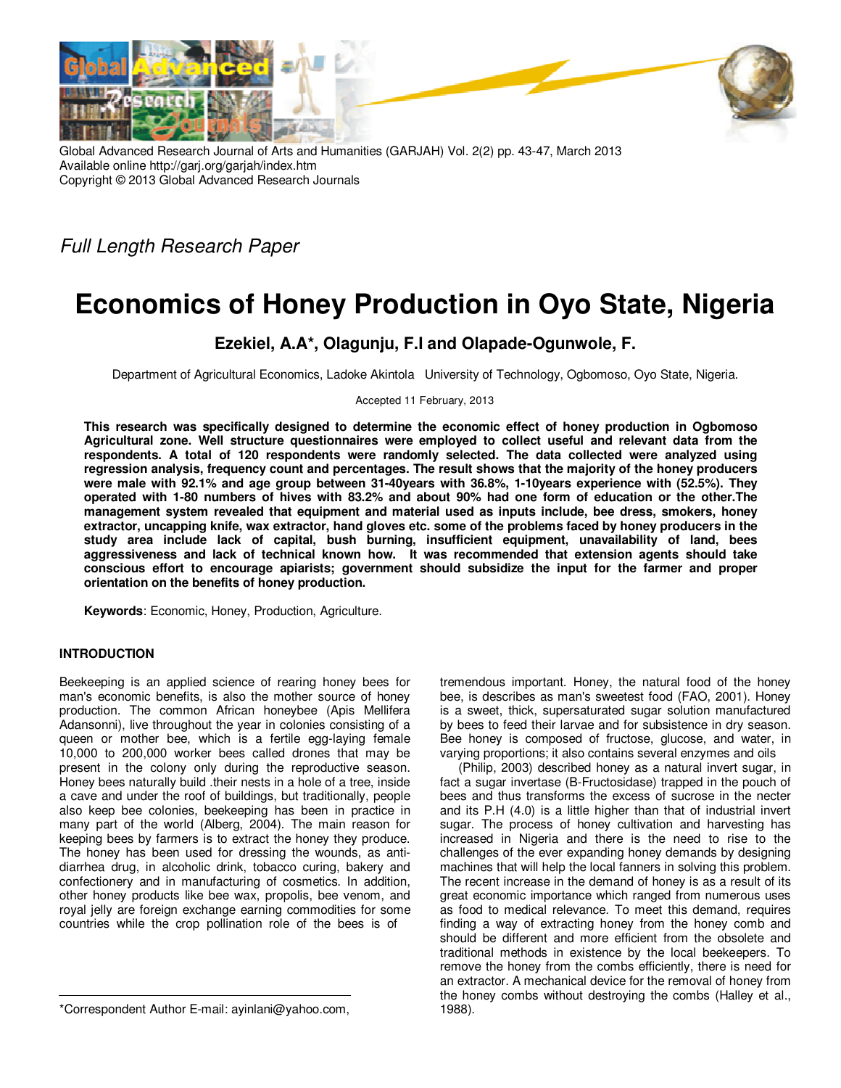

Global Advanced Research Journal of Arts and Humanities (GARJAH) Vol. 2(2) pp. 43-47, March 2013 Available online http://garj.org/garjah/index.htm Copyright © 2013 Global Advanced Research Journals

Full Length Research Paper

# **Economics of Honey Production in Oyo State, Nigeria**

## **Ezekiel, A.A\*, Olagunju, F.I and Olapade-Ogunwole, F.**

Department of Agricultural Economics, Ladoke Akintola University of Technology, Ogbomoso, Oyo State, Nigeria.

Accepted 11 February, 2013

**This research was specifically designed to determine the economic effect of honey production in Ogbomoso Agricultural zone. Well structure questionnaires were employed to collect useful and relevant data from the respondents. A total of 120 respondents were randomly selected. The data collected were analyzed using regression analysis, frequency count and percentages. The result shows that the majority of the honey producers were male with 92.1% and age group between 31-40years with 36.8%, 1-10years experience with (52.5%). They operated with 1-80 numbers of hives with 83.2% and about 90% had one form of education or the other.The management system revealed that equipment and material used as inputs include, bee dress, smokers, honey extractor, uncapping knife, wax extractor, hand gloves etc. some of the problems faced by honey producers in the study area include lack of capital, bush burning, insufficient equipment, unavailability of land, bees aggressiveness and lack of technical known how. It was recommended that extension agents should take conscious effort to encourage apiarists; government should subsidize the input for the farmer and proper orientation on the benefits of honey production.** 

**Keywords**: Economic, Honey, Production, Agriculture.

### **INTRODUCTION**

Beekeeping is an applied science of rearing honey bees for man's economic benefits, is also the mother source of honey production. The common African honeybee (Apis Mellifera Adansonni), live throughout the year in colonies consisting of a queen or mother bee, which is a fertile egg-laying female 10,000 to 200,000 worker bees called drones that may be present in the colony only during the reproductive season. Honey bees naturally build .their nests in a hole of a tree, inside a cave and under the roof of buildings, but traditionally, people also keep bee colonies, beekeeping has been in practice in many part of the world (Alberg, 2004). The main reason for keeping bees by farmers is to extract the honey they produce. The honey has been used for dressing the wounds, as antidiarrhea drug, in alcoholic drink, tobacco curing, bakery and confectionery and in manufacturing of cosmetics. In addition, other honey products like bee wax, propolis, bee venom, and royal jelly are foreign exchange earning commodities for some countries while the crop pollination role of the bees is of

tremendous important. Honey, the natural food of the honey bee, is describes as man's sweetest food (FAO, 2001). Honey is a sweet, thick, supersaturated sugar solution manufactured by bees to feed their larvae and for subsistence in dry season. Bee honey is composed of fructose, glucose, and water, in varying proportions; it also contains several enzymes and oils

(Philip, 2003) described honey as a natural invert sugar, in fact a sugar invertase (B-Fructosidase) trapped in the pouch of bees and thus transforms the excess of sucrose in the necter and its P.H (4.0) is a little higher than that of industrial invert sugar. The process of honey cultivation and harvesting has increased in Nigeria and there is the need to rise to the challenges of the ever expanding honey demands by designing machines that will help the local fanners in solving this problem. The recent increase in the demand of honey is as a result of its great economic importance which ranged from numerous uses as food to medical relevance. To meet this demand, requires finding a way of extracting honey from the honey comb and should be different and more efficient from the obsolete and traditional methods in existence by the local beekeepers. To remove the honey from the combs efficiently, there is need for an extractor. A mechanical device for the removal of honey from the honey combs without destroying the combs (Halley et al., 1988).

<sup>\*</sup>Correspondent Author E-mail: ayinlani@yahoo.com,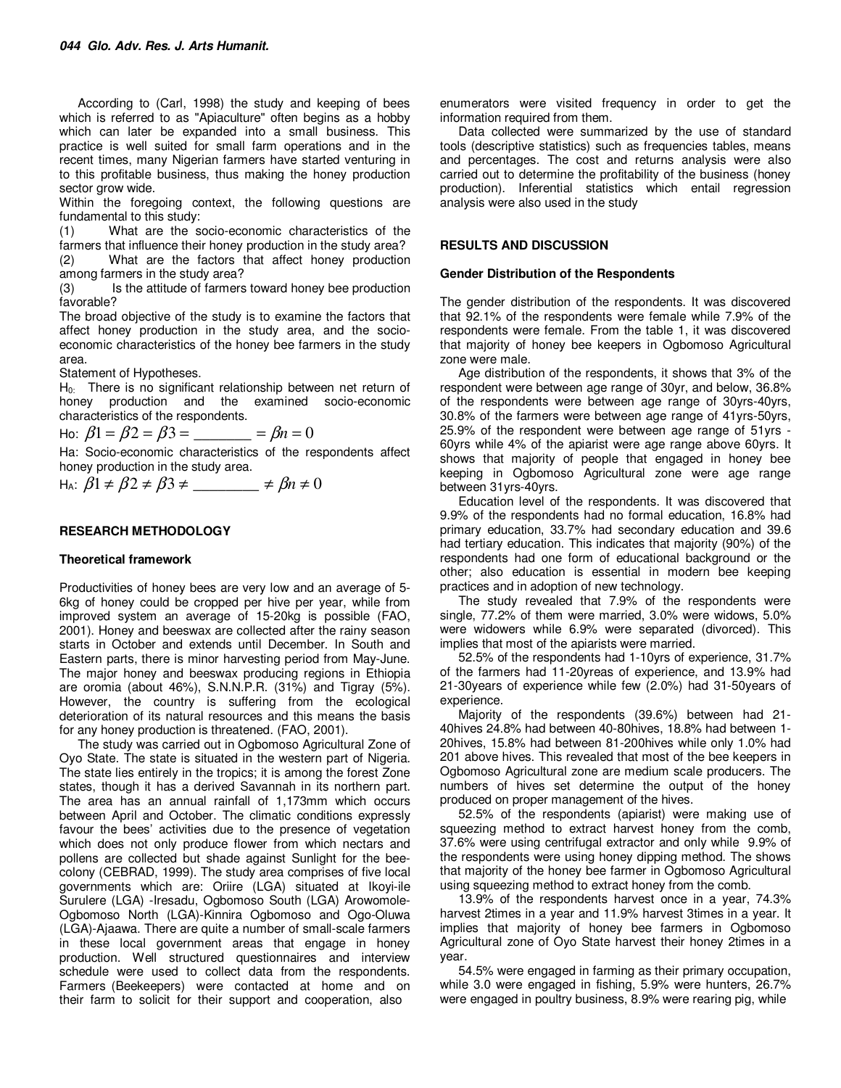According to (Carl, 1998) the study and keeping of bees which is referred to as "Apiaculture" often begins as a hobby which can later be expanded into a small business. This practice is well suited for small farm operations and in the recent times, many Nigerian farmers have started venturing in to this profitable business, thus making the honey production sector grow wide.

Within the foregoing context, the following questions are fundamental to this study:

(1) What are the socio-economic characteristics of the farmers that influence their honey production in the study area? (2) What are the factors that affect honey production among farmers in the study area?

(3) Is the attitude of farmers toward honey bee production favorable?

The broad objective of the study is to examine the factors that affect honey production in the study area, and the socioeconomic characteristics of the honey bee farmers in the study area.

Statement of Hypotheses.

 $H<sub>0</sub>$ . There is no significant relationship between net return of honey production and the examined socio-economic characteristics of the respondents.

Ho:  $\beta_1 = \beta_2 = \beta_3 =$  \_\_\_\_\_\_\_\_\_ =  $\beta_n = 0$ 

Ha: Socio-economic characteristics of the respondents affect honey production in the study area.

 $H_A: \beta_1 \neq \beta_2 \neq \beta_3 \neq \underline{\hspace{2cm}} \neq \beta_n \neq 0$ 

#### **RESEARCH METHODOLOGY**

#### **Theoretical framework**

Productivities of honey bees are very low and an average of 5- 6kg of honey could be cropped per hive per year, while from improved system an average of 15-20kg is possible (FAO, 2001). Honey and beeswax are collected after the rainy season starts in October and extends until December. In South and Eastern parts, there is minor harvesting period from May-June. The major honey and beeswax producing regions in Ethiopia are oromia (about 46%), S.N.N.P.R. (31%) and Tigray (5%). However, the country is suffering from the ecological deterioration of its natural resources and this means the basis for any honey production is threatened. (FAO, 2001).

The study was carried out in Ogbomoso Agricultural Zone of Oyo State. The state is situated in the western part of Nigeria. The state lies entirely in the tropics; it is among the forest Zone states, though it has a derived Savannah in its northern part. The area has an annual rainfall of 1,173mm which occurs between April and October. The climatic conditions expressly favour the bees' activities due to the presence of vegetation which does not only produce flower from which nectars and pollens are collected but shade against Sunlight for the beecolony (CEBRAD, 1999). The study area comprises of five local governments which are: Oriire (LGA) situated at Ikoyi-ile Surulere (LGA) -Iresadu, Ogbomoso South (LGA) Arowomole-Ogbomoso North (LGA)-Kinnira Ogbomoso and Ogo-Oluwa (LGA)-Ajaawa. There are quite a number of small-scale farmers in these local government areas that engage in honey production. Well structured questionnaires and interview schedule were used to collect data from the respondents. Farmers (Beekeepers) were contacted at home and on their farm to solicit for their support and cooperation, also

enumerators were visited frequency in order to get the information required from them.

Data collected were summarized by the use of standard tools (descriptive statistics) such as frequencies tables, means and percentages. The cost and returns analysis were also carried out to determine the profitability of the business (honey production). Inferential statistics which entail regression analysis were also used in the study

#### **RESULTS AND DISCUSSION**

#### **Gender Distribution of the Respondents**

The gender distribution of the respondents. It was discovered that 92.1% of the respondents were female while 7.9% of the respondents were female. From the table 1, it was discovered that majority of honey bee keepers in Ogbomoso Agricultural zone were male.

Age distribution of the respondents, it shows that 3% of the respondent were between age range of 30yr, and below, 36.8% of the respondents were between age range of 30yrs-40yrs, 30.8% of the farmers were between age range of 41yrs-50yrs, 25.9% of the respondent were between age range of 51yrs - 60yrs while 4% of the apiarist were age range above 60yrs. It shows that majority of people that engaged in honey bee keeping in Ogbomoso Agricultural zone were age range between 31yrs-40yrs.

Education level of the respondents. It was discovered that 9.9% of the respondents had no formal education, 16.8% had primary education, 33.7% had secondary education and 39.6 had tertiary education. This indicates that majority (90%) of the respondents had one form of educational background or the other; also education is essential in modern bee keeping practices and in adoption of new technology.

The study revealed that 7.9% of the respondents were single, 77.2% of them were married, 3.0% were widows, 5.0% were widowers while 6.9% were separated (divorced). This implies that most of the apiarists were married.

52.5% of the respondents had 1-10yrs of experience, 31.7% of the farmers had 11-20yreas of experience, and 13.9% had 21-30years of experience while few (2.0%) had 31-50years of experience.

Majority of the respondents (39.6%) between had 21- 40hives 24.8% had between 40-80hives, 18.8% had between 1- 20hives, 15.8% had between 81-200hives while only 1.0% had 201 above hives. This revealed that most of the bee keepers in Ogbomoso Agricultural zone are medium scale producers. The numbers of hives set determine the output of the honey produced on proper management of the hives.

52.5% of the respondents (apiarist) were making use of squeezing method to extract harvest honey from the comb, 37.6% were using centrifugal extractor and only while 9.9% of the respondents were using honey dipping method. The shows that majority of the honey bee farmer in Ogbomoso Agricultural using squeezing method to extract honey from the comb.

13.9% of the respondents harvest once in a year, 74.3% harvest 2times in a year and 11.9% harvest 3times in a year. It implies that majority of honey bee farmers in Ogbomoso Agricultural zone of Oyo State harvest their honey 2times in a year.

54.5% were engaged in farming as their primary occupation, while 3.0 were engaged in fishing, 5.9% were hunters, 26.7% were engaged in poultry business, 8.9% were rearing pig, while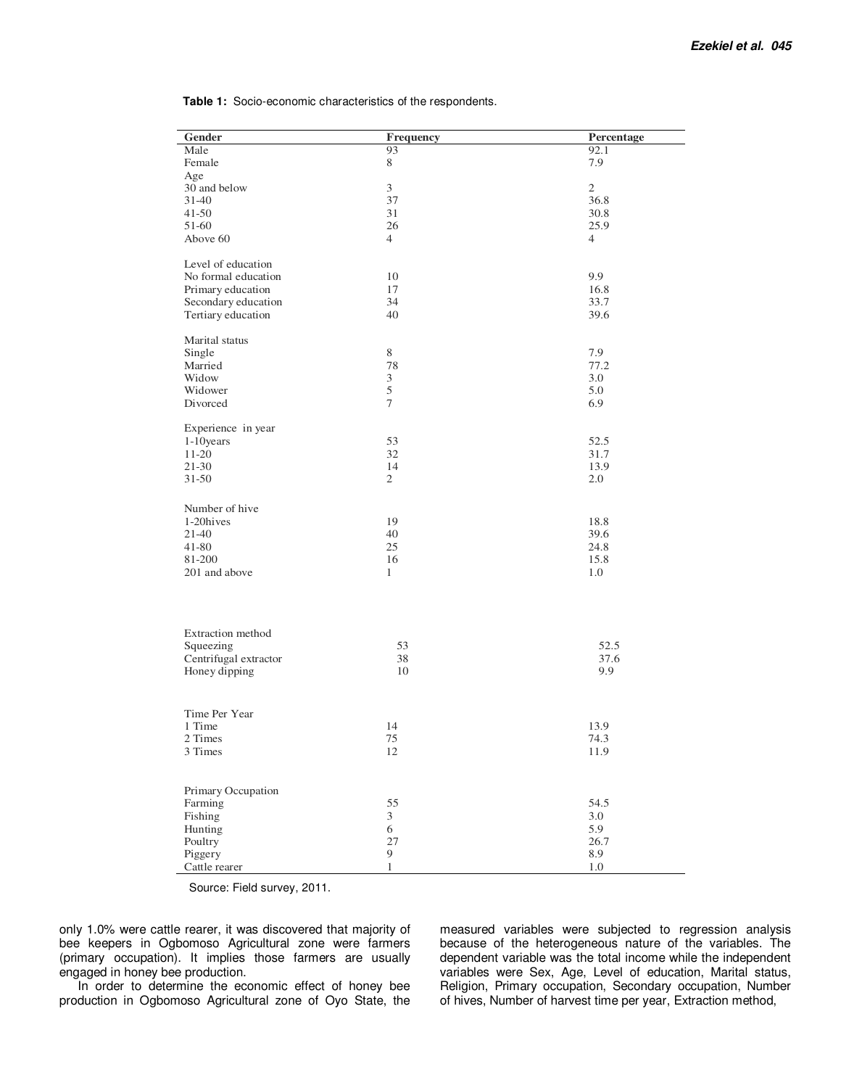**Table 1:** Socio-economic characteristics of the respondents.

| Gender                | Frequency        | Percentage     |
|-----------------------|------------------|----------------|
| Male                  | 93               | 92.1           |
| Female                | 8                | 7.9            |
| Age                   |                  |                |
| 30 and below          | $\mathfrak{Z}$   | $\overline{c}$ |
| $31 - 40$             | 37               | 36.8           |
| $41 - 50$             | 31               | 30.8           |
| 51-60                 | 26               | 25.9           |
| Above 60              | $\overline{4}$   | $\overline{4}$ |
|                       |                  |                |
| Level of education    |                  |                |
| No formal education   | 10               | 9.9            |
| Primary education     | 17               | 16.8           |
| Secondary education   | 34               | 33.7           |
| Tertiary education    | 40               | 39.6           |
|                       |                  |                |
| Marital status        |                  |                |
| Single                | $8\,$            | 7.9            |
| Married               | 78               | 77.2           |
| Widow                 | $\mathfrak{Z}$   | 3.0            |
| Widower               | 5                | 5.0            |
| Divorced              | $\boldsymbol{7}$ | 6.9            |
|                       |                  |                |
| Experience in year    |                  |                |
| $1-10$ years          | 53               | 52.5           |
| 11-20                 | 32               | 31.7           |
| $21 - 30$             | 14               | 13.9           |
| $31 - 50$             | $\overline{2}$   | 2.0            |
|                       |                  |                |
| Number of hive        |                  |                |
| 1-20hives             | 19               | 18.8           |
| 21-40                 | 40               | 39.6           |
| 41-80                 | 25               | 24.8           |
| 81-200                | 16               | 15.8           |
| 201 and above         | $\mathbf{1}$     | 1.0            |
|                       |                  |                |
|                       |                  |                |
|                       |                  |                |
| Extraction method     |                  |                |
| Squeezing             | 53               | 52.5           |
| Centrifugal extractor | 38               | 37.6           |
| Honey dipping         | 10               | 9.9            |
|                       |                  |                |
|                       |                  |                |
| Time Per Year         |                  |                |
| 1 Time                | 14               | 13.9           |
| 2 Times               | 75               | 74.3           |
| 3 Times               | 12               | 11.9           |
|                       |                  |                |
|                       |                  |                |
| Primary Occupation    |                  |                |
| Farming               | 55               | 54.5           |
| Fishing               | $\mathfrak{Z}$   | 3.0            |
| Hunting               | 6                | 5.9            |
| Poultry               | 27               | 26.7           |
| Piggery               | 9                | 8.9            |
| Cattle rearer         | $\mathbf{1}$     | $1.0\,$        |

Source: Field survey, 2011.

only 1.0% were cattle rearer, it was discovered that majority of bee keepers in Ogbomoso Agricultural zone were farmers (primary occupation). It implies those farmers are usually engaged in honey bee production.

In order to determine the economic effect of honey bee production in Ogbomoso Agricultural zone of Oyo State, the

measured variables were subjected to regression analysis because of the heterogeneous nature of the variables. The dependent variable was the total income while the independent variables were Sex, Age, Level of education, Marital status, Religion, Primary occupation, Secondary occupation, Number of hives, Number of harvest time per year, Extraction method,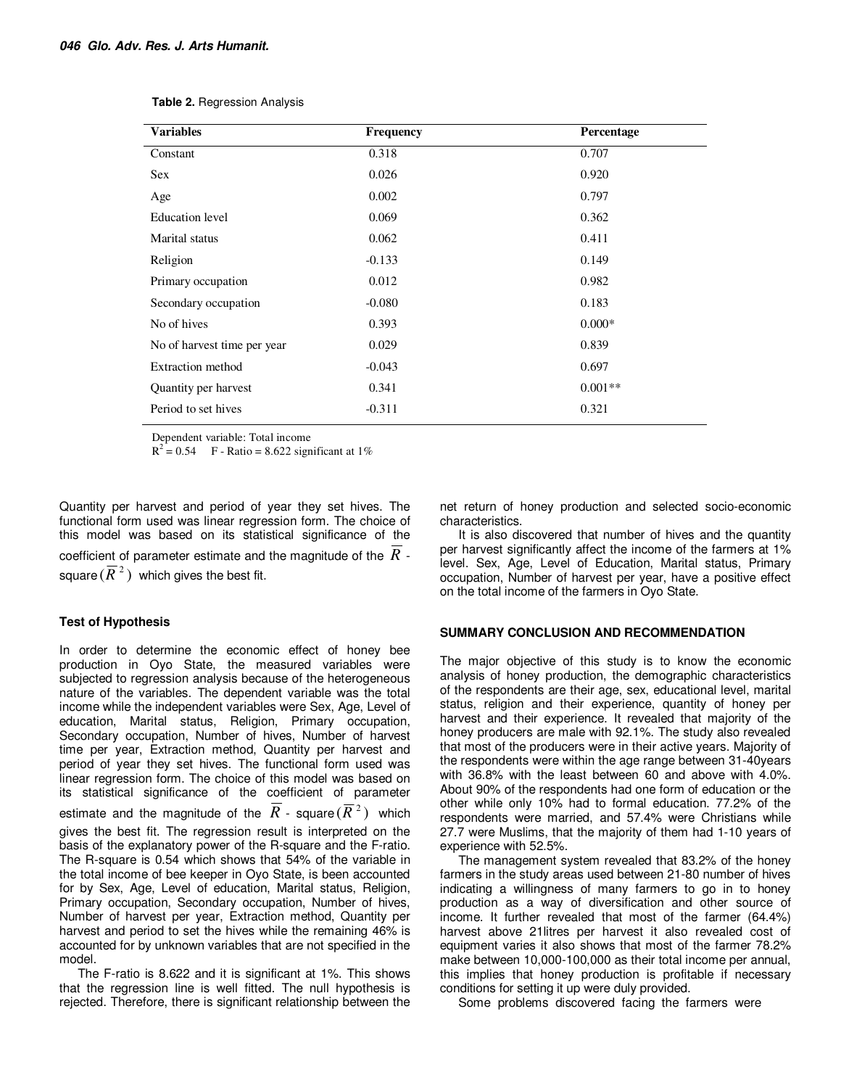| <b>Variables</b>            | Frequency | Percentage |
|-----------------------------|-----------|------------|
| Constant                    | 0.318     | 0.707      |
| <b>Sex</b>                  | 0.026     | 0.920      |
| Age                         | 0.002     | 0.797      |
| Education level             | 0.069     | 0.362      |
| Marital status              | 0.062     | 0.411      |
| Religion                    | $-0.133$  | 0.149      |
| Primary occupation          | 0.012     | 0.982      |
| Secondary occupation        | $-0.080$  | 0.183      |
| No of hives                 | 0.393     | $0.000*$   |
| No of harvest time per year | 0.029     | 0.839      |
| <b>Extraction method</b>    | $-0.043$  | 0.697      |
| Quantity per harvest        | 0.341     | $0.001**$  |
| Period to set hives         | $-0.311$  | 0.321      |

**Table 2.** Regression Analysis

Dependent variable: Total income

 $R^2 = 0.54$  F - Ratio = 8.622 significant at 1%

Quantity per harvest and period of year they set hives. The functional form used was linear regression form. The choice of this model was based on its statistical significance of the coefficient of parameter estimate and the magnitude of the *R* square  $(\overline{R}^{\,2})$  which gives the best fit.

#### **Test of Hypothesis**

In order to determine the economic effect of honey bee production in Oyo State, the measured variables were subjected to regression analysis because of the heterogeneous nature of the variables. The dependent variable was the total income while the independent variables were Sex, Age, Level of education, Marital status, Religion, Primary occupation, Secondary occupation, Number of hives, Number of harvest time per year, Extraction method, Quantity per harvest and period of year they set hives. The functional form used was linear regression form. The choice of this model was based on its statistical significance of the coefficient of parameter estimate and the magnitude of the  $\overline{R}$  - square  $(\overline{R}^{\,2})$  which gives the best fit. The regression result is interpreted on the basis of the explanatory power of the R-square and the F-ratio. The R-square is 0.54 which shows that 54% of the variable in the total income of bee keeper in Oyo State, is been accounted for by Sex, Age, Level of education, Marital status, Religion, Primary occupation, Secondary occupation, Number of hives, Number of harvest per year, Extraction method, Quantity per harvest and period to set the hives while the remaining 46% is accounted for by unknown variables that are not specified in the model.

The F-ratio is 8.622 and it is significant at 1%. This shows that the regression line is well fitted. The null hypothesis is rejected. Therefore, there is significant relationship between the

net return of honey production and selected socio-economic characteristics.

It is also discovered that number of hives and the quantity per harvest significantly affect the income of the farmers at 1% level. Sex, Age, Level of Education, Marital status, Primary occupation, Number of harvest per year, have a positive effect on the total income of the farmers in Oyo State.

#### **SUMMARY CONCLUSION AND RECOMMENDATION**

The major objective of this study is to know the economic analysis of honey production, the demographic characteristics of the respondents are their age, sex, educational level, marital status, religion and their experience, quantity of honey per harvest and their experience. It revealed that majority of the honey producers are male with 92.1%. The study also revealed that most of the producers were in their active years. Majority of the respondents were within the age range between 31-40years with 36.8% with the least between 60 and above with 4.0%. About 90% of the respondents had one form of education or the other while only 10% had to formal education. 77.2% of the respondents were married, and 57.4% were Christians while 27.7 were Muslims, that the majority of them had 1-10 years of experience with 52.5%.

The management system revealed that 83.2% of the honey farmers in the study areas used between 21-80 number of hives indicating a willingness of many farmers to go in to honey production as a way of diversification and other source of income. It further revealed that most of the farmer (64.4%) harvest above 21litres per harvest it also revealed cost of equipment varies it also shows that most of the farmer 78.2% make between 10,000-100,000 as their total income per annual, this implies that honey production is profitable if necessary conditions for setting it up were duly provided.

Some problems discovered facing the farmers were